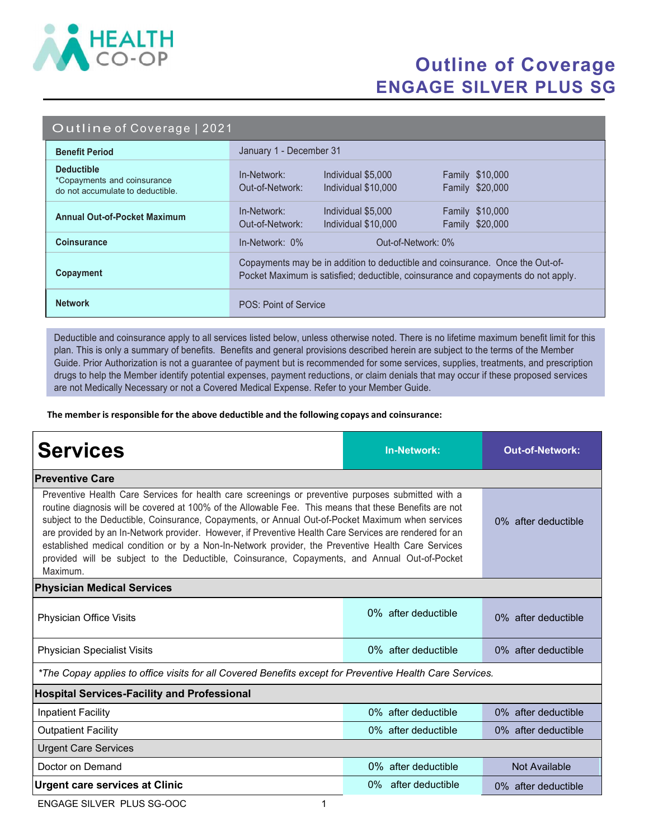

## Outline of Coverage ENGAGE SILVER PLUS SG

|  | Outline of Coverage   2021 |  |
|--|----------------------------|--|
|  |                            |  |

| <b>Benefit Period</b>                                                                | January 1 - December 31                                                                                                                                            |  |  |
|--------------------------------------------------------------------------------------|--------------------------------------------------------------------------------------------------------------------------------------------------------------------|--|--|
| <b>Deductible</b><br>*Copayments and coinsurance<br>do not accumulate to deductible. | In-Network:<br>Individual \$5,000<br><b>Family \$10,000</b><br>Family \$20,000<br>Out-of-Network:<br>Individual \$10,000                                           |  |  |
| <b>Annual Out-of-Pocket Maximum</b>                                                  | In-Network:<br>Family \$10,000<br>Individual \$5,000<br>Family \$20,000<br>Out-of-Network:<br>Individual \$10,000                                                  |  |  |
| <b>Coinsurance</b>                                                                   | $In-Network: 0\%$<br>Out-of-Network: 0%                                                                                                                            |  |  |
| Copayment                                                                            | Copayments may be in addition to deductible and coinsurance. Once the Out-of-<br>Pocket Maximum is satisfied; deductible, coinsurance and copayments do not apply. |  |  |
| <b>Network</b>                                                                       | POS: Point of Service                                                                                                                                              |  |  |

Deductible and coinsurance apply to all services listed below, unless otherwise noted. There is no lifetime maximum benefit limit for this plan. This is only a summary of benefits. Benefits and general provisions described herein are subject to the terms of the Member Guide. Prior Authorization is not a guarantee of payment but is recommended for some services, supplies, treatments, and prescription drugs to help the Member identify potential expenses, payment reductions, or claim denials that may occur if these proposed services are not Medically Necessary or not a Covered Medical Expense. Refer to your Member Guide.

The member is responsible for the above deductible and the following copays and coinsurance:

| <b>Services</b>                                                                                                                                                                                                                                                                                                                                                                                                                                                                                                                                                                                                                                 | In-Network:               | <b>Out-of-Network:</b> |  |  |  |
|-------------------------------------------------------------------------------------------------------------------------------------------------------------------------------------------------------------------------------------------------------------------------------------------------------------------------------------------------------------------------------------------------------------------------------------------------------------------------------------------------------------------------------------------------------------------------------------------------------------------------------------------------|---------------------------|------------------------|--|--|--|
| <b>Preventive Care</b>                                                                                                                                                                                                                                                                                                                                                                                                                                                                                                                                                                                                                          |                           |                        |  |  |  |
| Preventive Health Care Services for health care screenings or preventive purposes submitted with a<br>routine diagnosis will be covered at 100% of the Allowable Fee. This means that these Benefits are not<br>subject to the Deductible, Coinsurance, Copayments, or Annual Out-of-Pocket Maximum when services<br>are provided by an In-Network provider. However, if Preventive Health Care Services are rendered for an<br>established medical condition or by a Non-In-Network provider, the Preventive Health Care Services<br>provided will be subject to the Deductible, Coinsurance, Copayments, and Annual Out-of-Pocket<br>Maximum. | 0% after deductible       |                        |  |  |  |
| <b>Physician Medical Services</b>                                                                                                                                                                                                                                                                                                                                                                                                                                                                                                                                                                                                               |                           |                        |  |  |  |
| Physician Office Visits                                                                                                                                                                                                                                                                                                                                                                                                                                                                                                                                                                                                                         | $0\%$ after deductible    | 0% after deductible    |  |  |  |
| <b>Physician Specialist Visits</b>                                                                                                                                                                                                                                                                                                                                                                                                                                                                                                                                                                                                              | $0\%$ after deductible    | 0% after deductible    |  |  |  |
| *The Copay applies to office visits for all Covered Benefits except for Preventive Health Care Services.                                                                                                                                                                                                                                                                                                                                                                                                                                                                                                                                        |                           |                        |  |  |  |
| <b>Hospital Services-Facility and Professional</b>                                                                                                                                                                                                                                                                                                                                                                                                                                                                                                                                                                                              |                           |                        |  |  |  |
| <b>Inpatient Facility</b>                                                                                                                                                                                                                                                                                                                                                                                                                                                                                                                                                                                                                       | 0% after deductible       | 0% after deductible    |  |  |  |
| <b>Outpatient Facility</b>                                                                                                                                                                                                                                                                                                                                                                                                                                                                                                                                                                                                                      | 0% after deductible       | 0% after deductible    |  |  |  |
| <b>Urgent Care Services</b>                                                                                                                                                                                                                                                                                                                                                                                                                                                                                                                                                                                                                     |                           |                        |  |  |  |
| Doctor on Demand                                                                                                                                                                                                                                                                                                                                                                                                                                                                                                                                                                                                                                | $0\%$ after deductible    | Not Available          |  |  |  |
| <b>Urgent care services at Clinic</b>                                                                                                                                                                                                                                                                                                                                                                                                                                                                                                                                                                                                           | after deductible<br>$0\%$ | 0% after deductible    |  |  |  |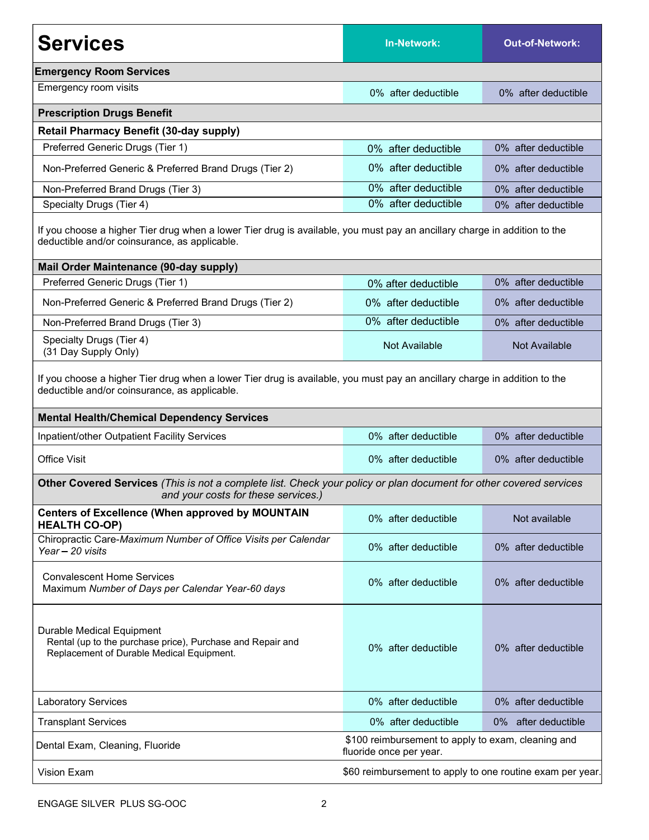| <b>Services</b>                                                                                                                                                                                                                 | <b>In-Network:</b>                                                            | <b>Out-of-Network:</b> |  |  |  |
|---------------------------------------------------------------------------------------------------------------------------------------------------------------------------------------------------------------------------------|-------------------------------------------------------------------------------|------------------------|--|--|--|
| <b>Emergency Room Services</b>                                                                                                                                                                                                  |                                                                               |                        |  |  |  |
| Emergency room visits                                                                                                                                                                                                           | 0% after deductible                                                           | 0% after deductible    |  |  |  |
| <b>Prescription Drugs Benefit</b>                                                                                                                                                                                               |                                                                               |                        |  |  |  |
| <b>Retail Pharmacy Benefit (30-day supply)</b>                                                                                                                                                                                  |                                                                               |                        |  |  |  |
| Preferred Generic Drugs (Tier 1)                                                                                                                                                                                                | 0% after deductible                                                           | 0% after deductible    |  |  |  |
| Non-Preferred Generic & Preferred Brand Drugs (Tier 2)                                                                                                                                                                          | 0% after deductible                                                           | 0% after deductible    |  |  |  |
| Non-Preferred Brand Drugs (Tier 3)                                                                                                                                                                                              | 0% after deductible                                                           | 0% after deductible    |  |  |  |
| Specialty Drugs (Tier 4)                                                                                                                                                                                                        | 0% after deductible                                                           | 0% after deductible    |  |  |  |
| If you choose a higher Tier drug when a lower Tier drug is available, you must pay an ancillary charge in addition to the<br>deductible and/or coinsurance, as applicable.                                                      |                                                                               |                        |  |  |  |
| Mail Order Maintenance (90-day supply)                                                                                                                                                                                          |                                                                               |                        |  |  |  |
| Preferred Generic Drugs (Tier 1)                                                                                                                                                                                                | 0% after deductible                                                           | 0% after deductible    |  |  |  |
| Non-Preferred Generic & Preferred Brand Drugs (Tier 2)                                                                                                                                                                          | 0% after deductible                                                           | 0% after deductible    |  |  |  |
| Non-Preferred Brand Drugs (Tier 3)                                                                                                                                                                                              | 0% after deductible                                                           | 0% after deductible    |  |  |  |
| Specialty Drugs (Tier 4)<br>(31 Day Supply Only)                                                                                                                                                                                | Not Available                                                                 | <b>Not Available</b>   |  |  |  |
| If you choose a higher Tier drug when a lower Tier drug is available, you must pay an ancillary charge in addition to the<br>deductible and/or coinsurance, as applicable.<br><b>Mental Health/Chemical Dependency Services</b> |                                                                               |                        |  |  |  |
| Inpatient/other Outpatient Facility Services                                                                                                                                                                                    | 0% after deductible                                                           | 0% after deductible    |  |  |  |
| <b>Office Visit</b>                                                                                                                                                                                                             | 0% after deductible                                                           | 0% after deductible    |  |  |  |
| Other Covered Services (This is not a complete list. Check your policy or plan document for other covered services<br>and your costs for these services.)                                                                       |                                                                               |                        |  |  |  |
| <b>Centers of Excellence (When approved by MOUNTAIN</b><br><b>HEALTH CO-OP)</b>                                                                                                                                                 | 0% after deductible                                                           | Not available          |  |  |  |
| Chiropractic Care-Maximum Number of Office Visits per Calendar<br>Year - 20 visits                                                                                                                                              | 0% after deductible                                                           | 0% after deductible    |  |  |  |
| <b>Convalescent Home Services</b><br>Maximum Number of Days per Calendar Year-60 days                                                                                                                                           | 0% after deductible                                                           | 0% after deductible    |  |  |  |
| Durable Medical Equipment<br>Rental (up to the purchase price), Purchase and Repair and<br>Replacement of Durable Medical Equipment.                                                                                            | 0% after deductible                                                           | 0% after deductible    |  |  |  |
| <b>Laboratory Services</b>                                                                                                                                                                                                      | 0% after deductible                                                           | 0% after deductible    |  |  |  |
| <b>Transplant Services</b>                                                                                                                                                                                                      | 0% after deductible                                                           | 0% after deductible    |  |  |  |
| Dental Exam, Cleaning, Fluoride                                                                                                                                                                                                 | \$100 reimbursement to apply to exam, cleaning and<br>fluoride once per year. |                        |  |  |  |
| <b>Vision Exam</b>                                                                                                                                                                                                              | \$60 reimbursement to apply to one routine exam per year.                     |                        |  |  |  |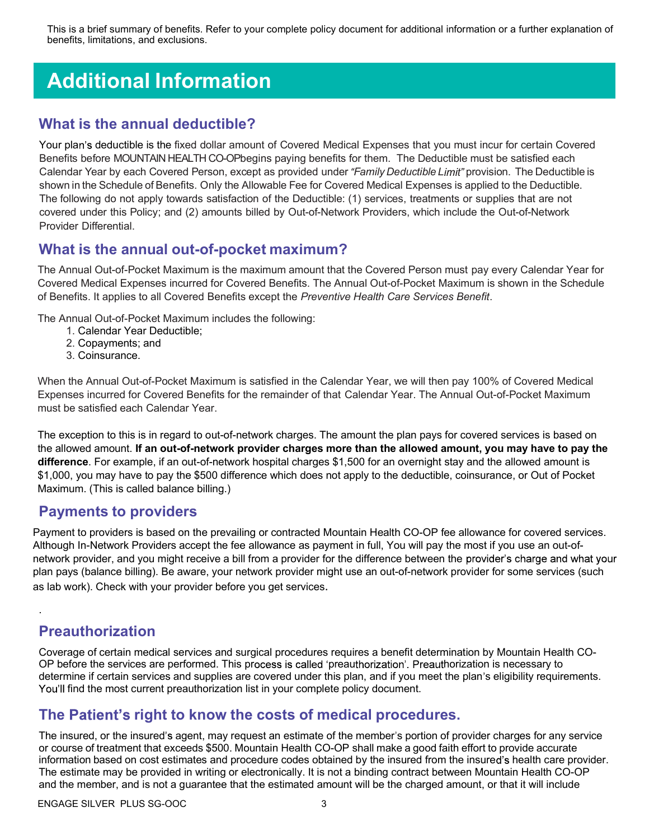This is a brief summary of benefits. Refer to your complete policy document for additional information or a further explanation of benefits, limitations, and exclusions.

# Additional Information

#### What is the annual deductible?

Your plan's deductible is the fixed dollar amount of Covered Medical Expenses that you must incur for certain Covered Benefits before MOUNTAIN HEALTH CO-OPbegins paying benefits for them. The Deductible must be satisfied each Calendar Year by each Covered Person, except as provided under "Family Deductible Limit" provision. The Deductible is shown in the Schedule of Benefits. Only the Allowable Fee for Covered Medical Expenses is applied to the Deductible. The following do not apply towards satisfaction of the Deductible: (1) services, treatments or supplies that are not covered under this Policy; and (2) amounts billed by Out-of-Network Providers, which include the Out-of-Network Provider Differential.

#### What is the annual out-of-pocket maximum?

The Annual Out-of-Pocket Maximum is the maximum amount that the Covered Person must pay every Calendar Year for Covered Medical Expenses incurred for Covered Benefits. The Annual Out-of-Pocket Maximum is shown in the Schedule of Benefits. It applies to all Covered Benefits except the Preventive Health Care Services Benefit.

The Annual Out-of-Pocket Maximum includes the following:

- 1. Calendar Year Deductible;
- 2. Copayments; and
- 3. Coinsurance.

When the Annual Out-of-Pocket Maximum is satisfied in the Calendar Year, we will then pay 100% of Covered Medical Expenses incurred for Covered Benefits for the remainder of that Calendar Year. The Annual Out-of-Pocket Maximum must be satisfied each Calendar Year.

The exception to this is in regard to out-of-network charges. The amount the plan pays for covered services is based on the allowed amount. If an out-of-network provider charges more than the allowed amount, you may have to pay the difference. For example, if an out-of-network hospital charges \$1,500 for an overnight stay and the allowed amount is \$1,000, you may have to pay the \$500 difference which does not apply to the deductible, coinsurance, or Out of Pocket Maximum. (This is called balance billing.)

#### Payments to providers

Payment to providers is based on the prevailing or contracted Mountain Health CO-OP fee allowance for covered services. Although In-Network Providers accept the fee allowance as payment in full, You will pay the most if you use an out-ofnetwork provider, and you might receive a bill from a provider for the difference between the provider's charge and what your plan pays (balance billing). Be aware, your network provider might use an out-of-network provider for some services (such as lab work). Check with your provider before you get services.

### Preauthorization

.

Coverage of certain medical services and surgical procedures requires a benefit determination by Mountain Health CO-OP before the services are performed. This process is called 'preauthorization'. Preauthorization is necessary to determine if certain services and supplies are covered under this plan, and if you meet the plan's eligibility requirements. You'll find the most current preauthorization list in your complete policy document.

#### The Patient's right to know the costs of medical procedures.

The insured, or the insured's agent, may request an estimate of the member's portion of provider charges for any service or course of treatment that exceeds \$500. Mountain Health CO-OP shall make a good faith effort to provide accurate information based on cost estimates and procedure codes obtained by the insured from the insured's health care provider. The estimate may be provided in writing or electronically. It is not a binding contract between Mountain Health CO-OP and the member, and is not a guarantee that the estimated amount will be the charged amount, or that it will include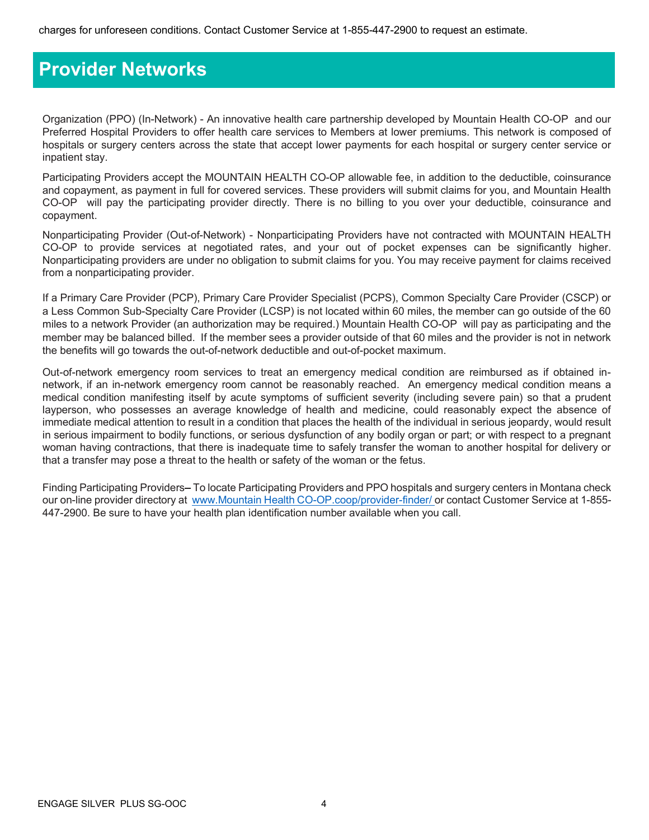### Provider Networks

Organization (PPO) (In-Network) - An innovative health care partnership developed by Mountain Health CO-OP and our Preferred Hospital Providers to offer health care services to Members at lower premiums. This network is composed of hospitals or surgery centers across the state that accept lower payments for each hospital or surgery center service or inpatient stay.

Participating Providers accept the MOUNTAIN HEALTH CO-OP allowable fee, in addition to the deductible, coinsurance and copayment, as payment in full for covered services. These providers will submit claims for you, and Mountain Health CO-OP will pay the participating provider directly. There is no billing to you over your deductible, coinsurance and copayment.

Nonparticipating Provider (Out-of-Network) - Nonparticipating Providers have not contracted with MOUNTAIN HEALTH CO-OP to provide services at negotiated rates, and your out of pocket expenses can be significantly higher. Nonparticipating providers are under no obligation to submit claims for you. You may receive payment for claims received from a nonparticipating provider.

If a Primary Care Provider (PCP), Primary Care Provider Specialist (PCPS), Common Specialty Care Provider (CSCP) or a Less Common Sub-Specialty Care Provider (LCSP) is not located within 60 miles, the member can go outside of the 60 miles to a network Provider (an authorization may be required.) Mountain Health CO-OP will pay as participating and the member may be balanced billed. If the member sees a provider outside of that 60 miles and the provider is not in network the benefits will go towards the out-of-network deductible and out-of-pocket maximum.

Out-of-network emergency room services to treat an emergency medical condition are reimbursed as if obtained innetwork, if an in-network emergency room cannot be reasonably reached. An emergency medical condition means a medical condition manifesting itself by acute symptoms of sufficient severity (including severe pain) so that a prudent layperson, who possesses an average knowledge of health and medicine, could reasonably expect the absence of immediate medical attention to result in a condition that places the health of the individual in serious jeopardy, would result in serious impairment to bodily functions, or serious dysfunction of any bodily organ or part; or with respect to a pregnant woman having contractions, that there is inadequate time to safely transfer the woman to another hospital for delivery or that a transfer may pose a threat to the health or safety of the woman or the fetus.

Finding Participating Providers–To locate Participating Providers and PPO hospitals and surgery centers in Montana check our on-line provider directory at www.Mountain Health CO-OP.coop/provider-finder/ or contact Customer Service at 1-855-447-2900. Be sure to have your health plan identification number available when you call.